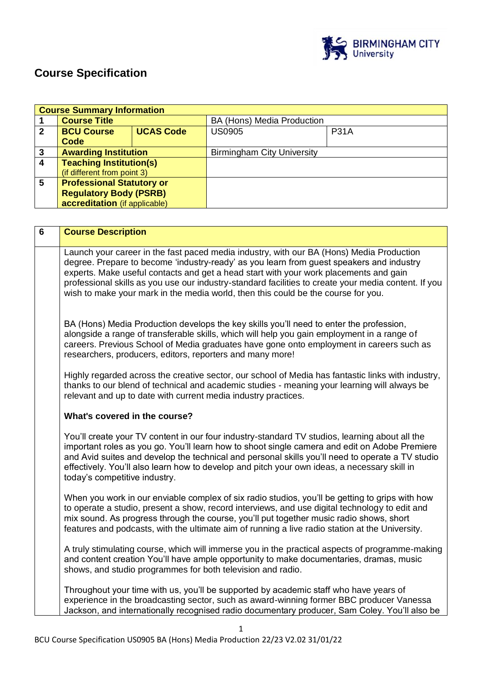

# **Course Specification**

|                | <b>Course Summary Information</b>                                                                                                                                                                 |                  |                                                                                                    |             |  |
|----------------|---------------------------------------------------------------------------------------------------------------------------------------------------------------------------------------------------|------------------|----------------------------------------------------------------------------------------------------|-------------|--|
| 1              | <b>Course Title</b>                                                                                                                                                                               |                  | BA (Hons) Media Production                                                                         |             |  |
| $\overline{2}$ | <b>BCU Course</b>                                                                                                                                                                                 | <b>UCAS Code</b> | <b>US0905</b>                                                                                      | <b>P31A</b> |  |
|                | <b>Code</b>                                                                                                                                                                                       |                  |                                                                                                    |             |  |
| $\mathbf 3$    | <b>Awarding Institution</b>                                                                                                                                                                       |                  | <b>Birmingham City University</b>                                                                  |             |  |
| $\overline{4}$ | <b>Teaching Institution(s)</b>                                                                                                                                                                    |                  |                                                                                                    |             |  |
|                | (if different from point 3)                                                                                                                                                                       |                  |                                                                                                    |             |  |
| $5\phantom{1}$ | <b>Professional Statutory or</b>                                                                                                                                                                  |                  |                                                                                                    |             |  |
|                | <b>Regulatory Body (PSRB)</b>                                                                                                                                                                     |                  |                                                                                                    |             |  |
|                | accreditation (if applicable)                                                                                                                                                                     |                  |                                                                                                    |             |  |
|                |                                                                                                                                                                                                   |                  |                                                                                                    |             |  |
| $6\phantom{a}$ | <b>Course Description</b>                                                                                                                                                                         |                  |                                                                                                    |             |  |
|                |                                                                                                                                                                                                   |                  |                                                                                                    |             |  |
|                |                                                                                                                                                                                                   |                  | Launch your career in the fast paced media industry, with our BA (Hons) Media Production           |             |  |
|                |                                                                                                                                                                                                   |                  | degree. Prepare to become 'industry-ready' as you learn from guest speakers and industry           |             |  |
|                |                                                                                                                                                                                                   |                  | experts. Make useful contacts and get a head start with your work placements and gain              |             |  |
|                | professional skills as you use our industry-standard facilities to create your media content. If you                                                                                              |                  |                                                                                                    |             |  |
|                | wish to make your mark in the media world, then this could be the course for you.                                                                                                                 |                  |                                                                                                    |             |  |
|                |                                                                                                                                                                                                   |                  |                                                                                                    |             |  |
|                |                                                                                                                                                                                                   |                  |                                                                                                    |             |  |
|                | BA (Hons) Media Production develops the key skills you'll need to enter the profession,                                                                                                           |                  |                                                                                                    |             |  |
|                | alongside a range of transferable skills, which will help you gain employment in a range of                                                                                                       |                  |                                                                                                    |             |  |
|                | careers. Previous School of Media graduates have gone onto employment in careers such as                                                                                                          |                  |                                                                                                    |             |  |
|                | researchers, producers, editors, reporters and many more!                                                                                                                                         |                  |                                                                                                    |             |  |
|                |                                                                                                                                                                                                   |                  |                                                                                                    |             |  |
|                |                                                                                                                                                                                                   |                  | Highly regarded across the creative sector, our school of Media has fantastic links with industry, |             |  |
|                |                                                                                                                                                                                                   |                  | thanks to our blend of technical and academic studies - meaning your learning will always be       |             |  |
|                |                                                                                                                                                                                                   |                  | relevant and up to date with current media industry practices.                                     |             |  |
|                |                                                                                                                                                                                                   |                  |                                                                                                    |             |  |
|                | What's covered in the course?                                                                                                                                                                     |                  |                                                                                                    |             |  |
|                | You'll create your TV content in our four industry-standard TV studios, learning about all the                                                                                                    |                  |                                                                                                    |             |  |
|                |                                                                                                                                                                                                   |                  |                                                                                                    |             |  |
|                | important roles as you go. You'll learn how to shoot single camera and edit on Adobe Premiere<br>and Avid suites and develop the technical and personal skills you'll need to operate a TV studio |                  |                                                                                                    |             |  |
|                | effectively. You'll also learn how to develop and pitch your own ideas, a necessary skill in                                                                                                      |                  |                                                                                                    |             |  |
|                | today's competitive industry.                                                                                                                                                                     |                  |                                                                                                    |             |  |
|                |                                                                                                                                                                                                   |                  |                                                                                                    |             |  |
|                |                                                                                                                                                                                                   |                  | When you work in our enviable complex of six radio studios, you'll be getting to grips with how    |             |  |
|                |                                                                                                                                                                                                   |                  | to operate a studio, present a show, record interviews, and use digital technology to edit and     |             |  |
|                | mix sound. As progress through the course, you'll put together music radio shows, short                                                                                                           |                  |                                                                                                    |             |  |

A truly stimulating course, which will immerse you in the practical aspects of programme-making and content creation You'll have ample opportunity to make documentaries, dramas, music shows, and studio programmes for both television and radio.

features and podcasts, with the ultimate aim of running a live radio station at the University.

Throughout your time with us, you'll be supported by academic staff who have years of experience in the broadcasting sector, such as award-winning former BBC producer Vanessa Jackson, and internationally recognised radio documentary producer, Sam Coley. You'll also be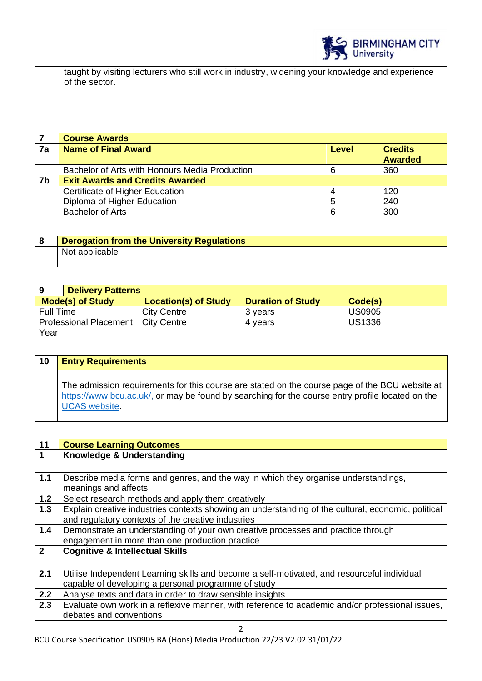

taught by visiting lecturers who still work in industry, widening your knowledge and experience of the sector.

|    | <b>Course Awards</b>                           |       |                                  |
|----|------------------------------------------------|-------|----------------------------------|
| 7a | <b>Name of Final Award</b>                     | Level | <b>Credits</b><br><b>Awarded</b> |
|    |                                                |       |                                  |
|    | Bachelor of Arts with Honours Media Production |       | 360                              |
| 7b | <b>Exit Awards and Credits Awarded</b>         |       |                                  |
|    | Certificate of Higher Education                |       | 120                              |
|    | Diploma of Higher Education                    | 5     | 240                              |
|    | <b>Bachelor of Arts</b>                        |       | 300                              |

| <b>Derogation from the University Regulations</b> |
|---------------------------------------------------|
| Not applicable                                    |

| <b>Delivery Patterns</b><br>9                                                                 |                    |         |               |  |
|-----------------------------------------------------------------------------------------------|--------------------|---------|---------------|--|
| <b>Location(s) of Study</b><br><b>Mode(s) of Study</b><br><b>Duration of Study</b><br>Code(s) |                    |         |               |  |
| Full Time                                                                                     | <b>City Centre</b> | 3 vears | <b>US0905</b> |  |
| Professional Placement                                                                        | City Centre        | 4 years | <b>US1336</b> |  |
| Year                                                                                          |                    |         |               |  |

| 10 | <b>Entry Requirements</b>                                                                                                                                                                                                  |
|----|----------------------------------------------------------------------------------------------------------------------------------------------------------------------------------------------------------------------------|
|    | The admission requirements for this course are stated on the course page of the BCU website at<br>https://www.bcu.ac.uk/, or may be found by searching for the course entry profile located on the<br><b>UCAS</b> website. |

| 11             | <b>Course Learning Outcomes</b>                                                                    |
|----------------|----------------------------------------------------------------------------------------------------|
| $\mathbf{1}$   | Knowledge & Understanding                                                                          |
|                |                                                                                                    |
| 1.1            | Describe media forms and genres, and the way in which they organise understandings,                |
|                | meanings and affects                                                                               |
| $1.2$          | Select research methods and apply them creatively                                                  |
| 1.3            | Explain creative industries contexts showing an understanding of the cultural, economic, political |
|                | and regulatory contexts of the creative industries                                                 |
| $1.4$          | Demonstrate an understanding of your own creative processes and practice through                   |
|                | engagement in more than one production practice                                                    |
| $\overline{2}$ | <b>Cognitive &amp; Intellectual Skills</b>                                                         |
|                |                                                                                                    |
| 2.1            | Utilise Independent Learning skills and become a self-motivated, and resourceful individual        |
|                | capable of developing a personal programme of study                                                |
| 2.2            | Analyse texts and data in order to draw sensible insights                                          |
| 2.3            | Evaluate own work in a reflexive manner, with reference to academic and/or professional issues,    |
|                | debates and conventions                                                                            |
|                | 2                                                                                                  |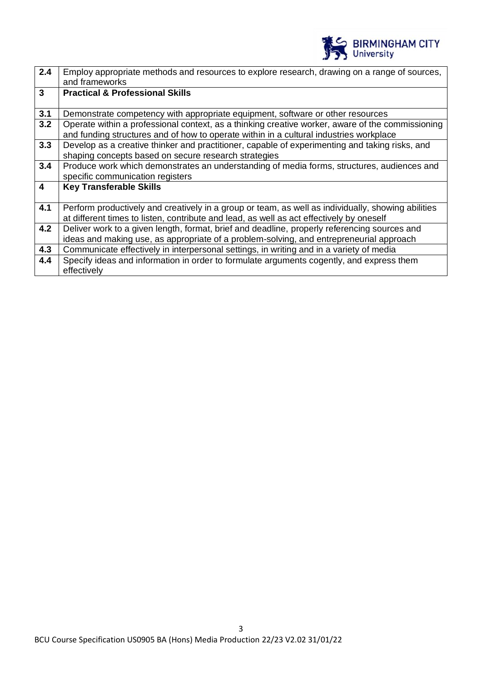

| 2.4                     | Employ appropriate methods and resources to explore research, drawing on a range of sources,<br>and frameworks                                                                             |
|-------------------------|--------------------------------------------------------------------------------------------------------------------------------------------------------------------------------------------|
| $\mathbf{3}$            | <b>Practical &amp; Professional Skills</b>                                                                                                                                                 |
| 3.1                     | Demonstrate competency with appropriate equipment, software or other resources                                                                                                             |
| 3.2                     | Operate within a professional context, as a thinking creative worker, aware of the commissioning<br>and funding structures and of how to operate within in a cultural industries workplace |
| 3.3                     | Develop as a creative thinker and practitioner, capable of experimenting and taking risks, and<br>shaping concepts based on secure research strategies                                     |
| 3.4                     | Produce work which demonstrates an understanding of media forms, structures, audiences and                                                                                                 |
|                         | specific communication registers                                                                                                                                                           |
| $\overline{\mathbf{4}}$ | <b>Key Transferable Skills</b>                                                                                                                                                             |
|                         |                                                                                                                                                                                            |
| 4.1                     | Perform productively and creatively in a group or team, as well as individually, showing abilities                                                                                         |
|                         | at different times to listen, contribute and lead, as well as act effectively by oneself                                                                                                   |
| 4.2                     | Deliver work to a given length, format, brief and deadline, properly referencing sources and                                                                                               |
|                         | ideas and making use, as appropriate of a problem-solving, and entrepreneurial approach                                                                                                    |
| 4.3                     | Communicate effectively in interpersonal settings, in writing and in a variety of media                                                                                                    |
| 4.4                     | Specify ideas and information in order to formulate arguments cogently, and express them<br>effectively                                                                                    |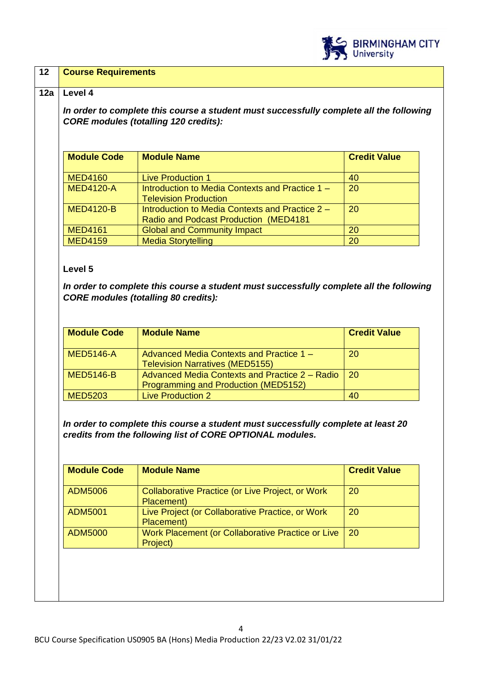

# **12 Course Requirements**

#### **12a Level 4**

*In order to complete this course a student must successfully complete all the following CORE modules (totalling 120 credits):*

| <b>Module Code</b> | <b>Module Name</b>                                                                               | <b>Credit Value</b> |
|--------------------|--------------------------------------------------------------------------------------------------|---------------------|
| <b>MED4160</b>     | <b>Live Production 1</b>                                                                         | 40                  |
| <b>MED4120-A</b>   | Introduction to Media Contexts and Practice 1 -<br><b>Television Production</b>                  | 20                  |
| <b>MED4120-B</b>   | Introduction to Media Contexts and Practice 2 -<br><b>Radio and Podcast Production (MED4181)</b> | 20                  |
| <b>MED4161</b>     | <b>Global and Community Impact</b>                                                               | 20                  |
| <b>MED4159</b>     | <b>Media Storytelling</b>                                                                        | 20                  |

### **Level 5**

*In order to complete this course a student must successfully complete all the following CORE modules (totalling 80 credits):*

| <b>Module Code</b> | <b>Module Name</b>                                                                     | <b>Credit Value</b> |
|--------------------|----------------------------------------------------------------------------------------|---------------------|
| <b>MED5146-A</b>   | Advanced Media Contexts and Practice 1 –<br><b>Television Narratives (MED5155)</b>     | 20                  |
| <b>MED5146-B</b>   | Advanced Media Contexts and Practice 2 – Radio<br>Programming and Production (MED5152) | 20                  |
| <b>MED5203</b>     | <b>Live Production 2</b>                                                               | 40                  |

*In order to complete this course a student must successfully complete at least 20 credits from the following list of CORE OPTIONAL modules.* 

| <b>ADM5006</b> | Collaborative Practice (or Live Project, or Work<br>Placement) | 20 |
|----------------|----------------------------------------------------------------|----|
| <b>ADM5001</b> | Live Project (or Collaborative Practice, or Work<br>Placement) | 20 |
| <b>ADM5000</b> | Work Placement (or Collaborative Practice or Live<br>Project)  | 20 |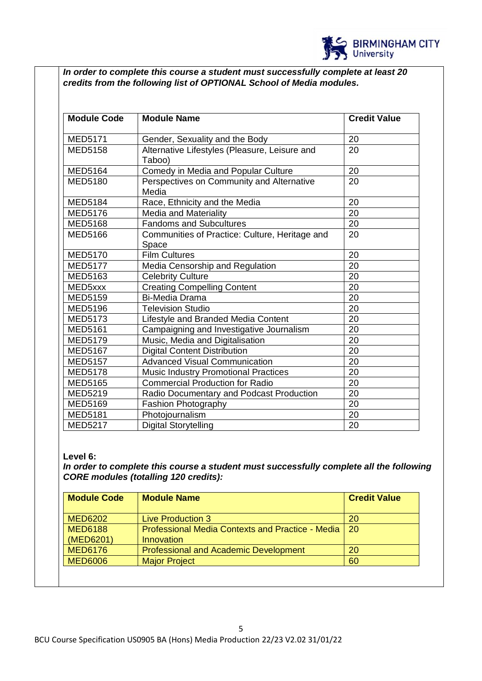

*In order to complete this course a student must successfully complete at least 20 credits from the following list of OPTIONAL School of Media modules.* 

| <b>Module Code</b> | <b>Module Name</b>                                      | <b>Credit Value</b> |
|--------------------|---------------------------------------------------------|---------------------|
| <b>MED5171</b>     | Gender, Sexuality and the Body                          | 20                  |
| <b>MED5158</b>     | Alternative Lifestyles (Pleasure, Leisure and<br>Taboo) | 20                  |
| <b>MED5164</b>     | Comedy in Media and Popular Culture                     | 20                  |
| <b>MED5180</b>     | Perspectives on Community and Alternative<br>Media      | 20                  |
| <b>MED5184</b>     | Race, Ethnicity and the Media                           | 20                  |
| <b>MED5176</b>     | Media and Materiality                                   | 20                  |
| <b>MED5168</b>     | <b>Fandoms and Subcultures</b>                          | 20                  |
| <b>MED5166</b>     | Communities of Practice: Culture, Heritage and<br>Space | 20                  |
| <b>MED5170</b>     | <b>Film Cultures</b>                                    | 20                  |
| <b>MED5177</b>     | Media Censorship and Regulation                         | 20                  |
| <b>MED5163</b>     | <b>Celebrity Culture</b>                                | 20                  |
| MED5xxx            | <b>Creating Compelling Content</b>                      | 20                  |
| <b>MED5159</b>     | <b>Bi-Media Drama</b>                                   | 20                  |
| <b>MED5196</b>     | <b>Television Studio</b>                                | 20                  |
| <b>MED5173</b>     | Lifestyle and Branded Media Content                     | 20                  |
| <b>MED5161</b>     | Campaigning and Investigative Journalism                | 20                  |
| <b>MED5179</b>     | Music, Media and Digitalisation                         | 20                  |
| <b>MED5167</b>     | <b>Digital Content Distribution</b>                     | 20                  |
| <b>MED5157</b>     | <b>Advanced Visual Communication</b>                    | 20                  |
| <b>MED5178</b>     | <b>Music Industry Promotional Practices</b>             | 20                  |
| <b>MED5165</b>     | <b>Commercial Production for Radio</b>                  | 20                  |
| <b>MED5219</b>     | Radio Documentary and Podcast Production                | 20                  |
| <b>MED5169</b>     | <b>Fashion Photography</b>                              | 20                  |
| <b>MED5181</b>     | Photojournalism                                         | 20                  |
| <b>MED5217</b>     | <b>Digital Storytelling</b>                             | 20                  |

# **Level 6:**

*In order to complete this course a student must successfully complete all the following CORE modules (totalling 120 credits):*

| <b>Module Code</b> | <b>Module Name</b>                                      | <b>Credit Value</b> |
|--------------------|---------------------------------------------------------|---------------------|
| <b>MED6202</b>     | <b>Live Production 3</b>                                | 20                  |
| <b>MED6188</b>     | <b>Professional Media Contexts and Practice - Media</b> | -20                 |
| (MED6201)          | Innovation                                              |                     |
| <b>MED6176</b>     | <b>Professional and Academic Development</b>            | 20                  |
| <b>MED6006</b>     | <b>Major Project</b>                                    | 60                  |
|                    |                                                         |                     |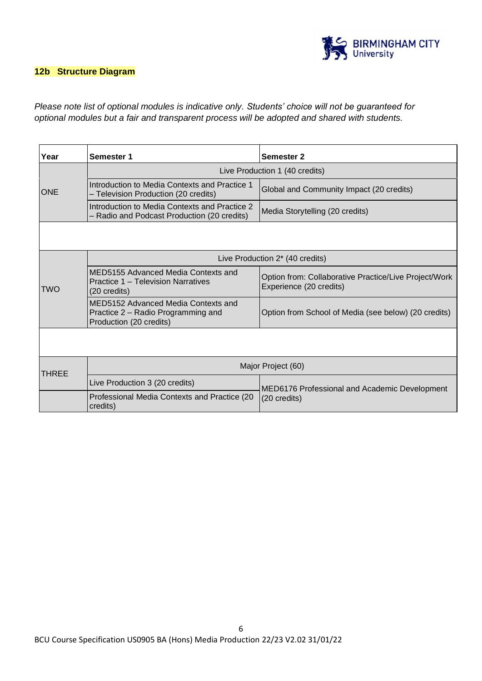

### **12b Structure Diagram**

# *Please note list of optional modules is indicative only. Students' choice will not be guaranteed for optional modules but a fair and transparent process will be adopted and shared with students.*

| Year       | Semester 1                                                                                           | <b>Semester 2</b>                                                                |
|------------|------------------------------------------------------------------------------------------------------|----------------------------------------------------------------------------------|
|            | Live Production 1 (40 credits)                                                                       |                                                                                  |
| <b>ONE</b> | Introduction to Media Contexts and Practice 1<br>- Television Production (20 credits)                | Global and Community Impact (20 credits)                                         |
|            | Introduction to Media Contexts and Practice 2<br>- Radio and Podcast Production (20 credits)         | Media Storytelling (20 credits)                                                  |
|            |                                                                                                      |                                                                                  |
|            |                                                                                                      |                                                                                  |
|            | Live Production 2* (40 credits)                                                                      |                                                                                  |
| TWO        | MED5155 Advanced Media Contexts and<br>Practice 1 – Television Narratives<br>$(20 \text{ credits})$  | Option from: Collaborative Practice/Live Project/Work<br>Experience (20 credits) |
|            | MED5152 Advanced Media Contexts and<br>Practice 2 – Radio Programming and<br>Production (20 credits) | Option from School of Media (see below) (20 credits)                             |
|            |                                                                                                      |                                                                                  |
| THREE      | Major Project (60)                                                                                   |                                                                                  |
|            | Live Production 3 (20 credits)                                                                       | MED6176 Professional and Academic Development<br>$(20 \text{ credits})$          |
|            | Professional Media Contexts and Practice (20<br>credits)                                             |                                                                                  |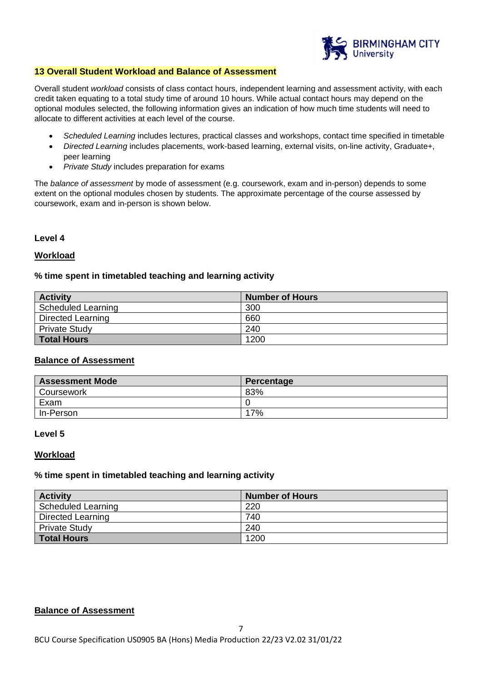

#### **13 Overall Student Workload and Balance of Assessment**

Overall student *workload* consists of class contact hours, independent learning and assessment activity, with each credit taken equating to a total study time of around 10 hours. While actual contact hours may depend on the optional modules selected, the following information gives an indication of how much time students will need to allocate to different activities at each level of the course.

- *Scheduled Learning* includes lectures, practical classes and workshops, contact time specified in timetable
- *Directed Learning* includes placements, work-based learning, external visits, on-line activity, Graduate+, peer learning
- *Private Study* includes preparation for exams

The *balance of assessment* by mode of assessment (e.g. coursework, exam and in-person) depends to some extent on the optional modules chosen by students. The approximate percentage of the course assessed by coursework, exam and in-person is shown below.

#### **Level 4**

#### **Workload**

#### **% time spent in timetabled teaching and learning activity**

| <b>Activity</b>      | <b>Number of Hours</b> |
|----------------------|------------------------|
| Scheduled Learning   | 300                    |
| Directed Learning    | 660                    |
| <b>Private Study</b> | 240                    |
| <b>Total Hours</b>   | 1200                   |

#### **Balance of Assessment**

| <b>Assessment Mode</b> | Percentage |
|------------------------|------------|
| Coursework             | 83%        |
| Exam                   |            |
| In-Person              | 17%        |

#### **Level 5**

#### **Workload**

#### **% time spent in timetabled teaching and learning activity**

| <b>Activity</b>           | <b>Number of Hours</b> |
|---------------------------|------------------------|
| <b>Scheduled Learning</b> | 220                    |
| <b>Directed Learning</b>  | 740                    |
| <b>Private Study</b>      | 240                    |
| <b>Total Hours</b>        | 1200                   |

#### **Balance of Assessment**